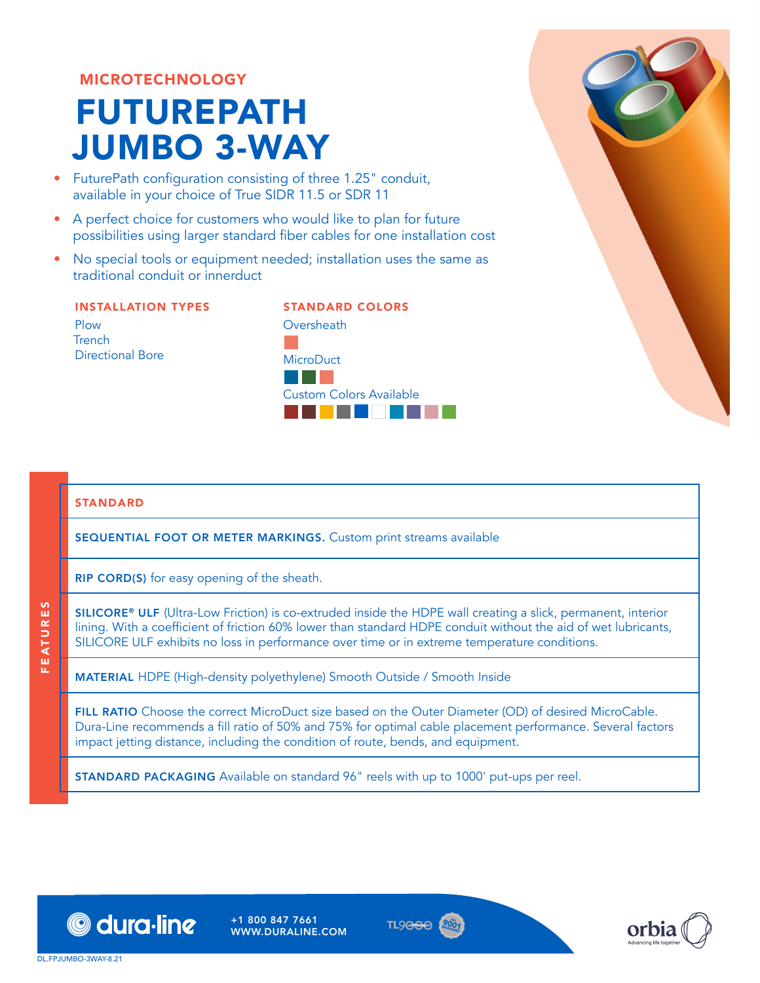# MICROTECHNOLOGY

# FUTUREPATH JUMBO 3-WAY

- FuturePath configuration consisting of three 1.25" conduit, available in your choice of True SIDR 11.5 or SDR 11
- A perfect choice for customers who would like to plan for future possibilities using larger standard fiber cables for one installation cost
- No special tools or equipment needed; installation uses the same as traditional conduit or innerduct

## INSTALLATION TYPES Plow **Trench** Directional Bore

STANDARD COLORS **Oversheath** D **MicroDuct** BGD Custom Colors Available SCXFAWYZba

#### STANDARD

SEQUENTIAL FOOT OR METER MARKINGS. Custom print streams available

RIP CORD(S) for easy opening of the sheath.

SILICORE® ULF (Ultra-Low Friction) is co-extruded inside the HDPE wall creating a slick, permanent, interior lining. With a coefficient of friction 60% lower than standard HDPE conduit without the aid of wet lubricants, SILICORE ULF exhibits no loss in performance over time or in extreme temperature conditions.

MATERIAL HDPE (High-density polyethylene) Smooth Outside / Smooth Inside

FILL RATIO Choose the correct MicroDuct size based on the Outer Diameter (OD) of desired MicroCable. Dura-Line recommends a fill ratio of 50% and 75% for optimal cable placement performance. Several factors impact jetting distance, including the condition of route, bends, and equipment.

STANDARD PACKAGING Available on standard 96" reels with up to 1000' put-ups per reel.



+1 800 847 7661 WWW.DURALINE.COM